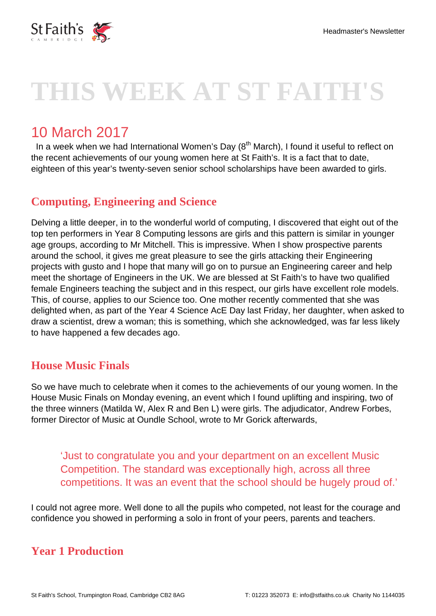

# **THIS WEEK AT ST FAITH'S**

# 10 March 2017

In a week when we had International Women's Day  $(8<sup>th</sup> March)$ , I found it useful to reflect on the recent achievements of our young women here at St Faith's. It is a fact that to date, eighteen of this year's twenty-seven senior school scholarships have been awarded to girls.

#### **Computing, Engineering and Science**

Delving a little deeper, in to the wonderful world of computing, I discovered that eight out of the top ten performers in Year 8 Computing lessons are girls and this pattern is similar in younger age groups, according to Mr Mitchell. This is impressive. When I show prospective parents around the school, it gives me great pleasure to see the girls attacking their Engineering projects with gusto and I hope that many will go on to pursue an Engineering career and help meet the shortage of Engineers in the UK. We are blessed at St Faith's to have two qualified female Engineers teaching the subject and in this respect, our girls have excellent role models. This, of course, applies to our Science too. One mother recently commented that she was delighted when, as part of the Year 4 Science AcE Day last Friday, her daughter, when asked to draw a scientist, drew a woman; this is something, which she acknowledged, was far less likely to have happened a few decades ago.

#### **House Music Finals**

So we have much to celebrate when it comes to the achievements of our young women. In the House Music Finals on Monday evening, an event which I found uplifting and inspiring, two of the three winners (Matilda W, Alex R and Ben L) were girls. The adjudicator, Andrew Forbes, former Director of Music at Oundle School, wrote to Mr Gorick afterwards,

'Just to congratulate you and your department on an excellent Music Competition. The standard was exceptionally high, across all three competitions. It was an event that the school should be hugely proud of.'

I could not agree more. Well done to all the pupils who competed, not least for the courage and confidence you showed in performing a solo in front of your peers, parents and teachers.

#### **Year 1 Production**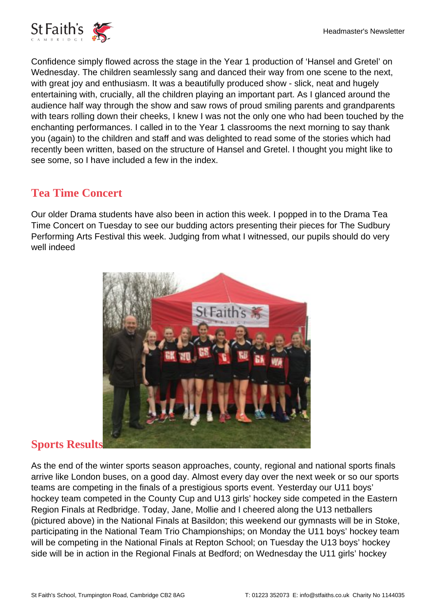

Confidence simply flowed across the stage in the Year 1 production of 'Hansel and Gretel' on Wednesday. The children seamlessly sang and danced their way from one scene to the next, with great joy and enthusiasm. It was a beautifully produced show - slick, neat and hugely entertaining with, crucially, all the children playing an important part. As I glanced around the audience half way through the show and saw rows of proud smiling parents and grandparents with tears rolling down their cheeks, I knew I was not the only one who had been touched by the enchanting performances. I called in to the Year 1 classrooms the next morning to say thank you (again) to the children and staff and was delighted to read some of the stories which had recently been written, based on the structure of Hansel and Gretel. I thought you might like to see some, so I have included a few in the index.

## **Tea Time Concert**

Our older Drama students have also been in action this week. I popped in to the Drama Tea Time Concert on Tuesday to see our budding actors presenting their pieces for The Sudbury Performing Arts Festival this week. Judging from what I witnessed, our pupils should do very well indeed



#### **Sports Results**

As the end of the winter sports season approaches, county, regional and national sports finals arrive like London buses, on a good day. Almost every day over the next week or so our sports teams are competing in the finals of a prestigious sports event. Yesterday our U11 boys' hockey team competed in the County Cup and U13 girls' hockey side competed in the Eastern Region Finals at Redbridge. Today, Jane, Mollie and I cheered along the U13 netballers (pictured above) in the National Finals at Basildon; this weekend our gymnasts will be in Stoke, participating in the National Team Trio Championships; on Monday the U11 boys' hockey team will be competing in the National Finals at Repton School; on Tuesday the U13 boys' hockey side will be in action in the Regional Finals at Bedford; on Wednesday the U11 girls' hockey